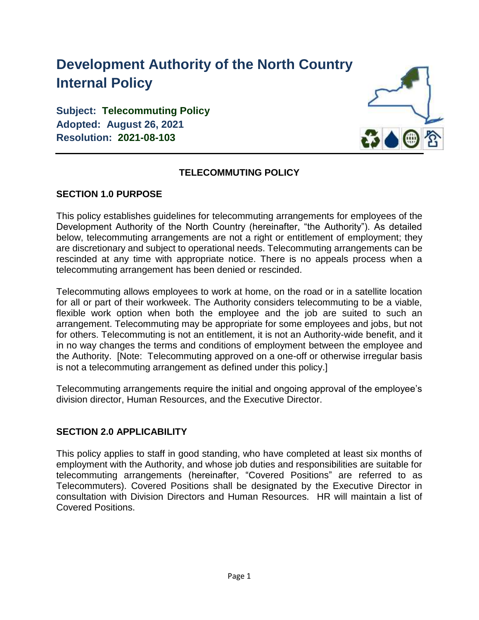# **Development Authority of the North Country Internal Policy**

**Subject: Telecommuting Policy Adopted: August 26, 2021 Resolution: 2021-08-103**



# **TELECOMMUTING POLICY**

## **SECTION 1.0 PURPOSE**

This policy establishes guidelines for telecommuting arrangements for employees of the Development Authority of the North Country (hereinafter, "the Authority"). As detailed below, telecommuting arrangements are not a right or entitlement of employment; they are discretionary and subject to operational needs. Telecommuting arrangements can be rescinded at any time with appropriate notice. There is no appeals process when a telecommuting arrangement has been denied or rescinded.

Telecommuting allows employees to work at home, on the road or in a satellite location for all or part of their workweek. The Authority considers telecommuting to be a viable, flexible work option when both the employee and the job are suited to such an arrangement. Telecommuting may be appropriate for some employees and jobs, but not for others. Telecommuting is not an entitlement, it is not an Authority-wide benefit, and it in no way changes the terms and conditions of employment between the employee and the Authority. [Note: Telecommuting approved on a one-off or otherwise irregular basis is not a telecommuting arrangement as defined under this policy.]

Telecommuting arrangements require the initial and ongoing approval of the employee's division director, Human Resources, and the Executive Director.

#### **SECTION 2.0 APPLICABILITY**

This policy applies to staff in good standing, who have completed at least six months of employment with the Authority, and whose job duties and responsibilities are suitable for telecommuting arrangements (hereinafter, "Covered Positions" are referred to as Telecommuters). Covered Positions shall be designated by the Executive Director in consultation with Division Directors and Human Resources. HR will maintain a list of Covered Positions.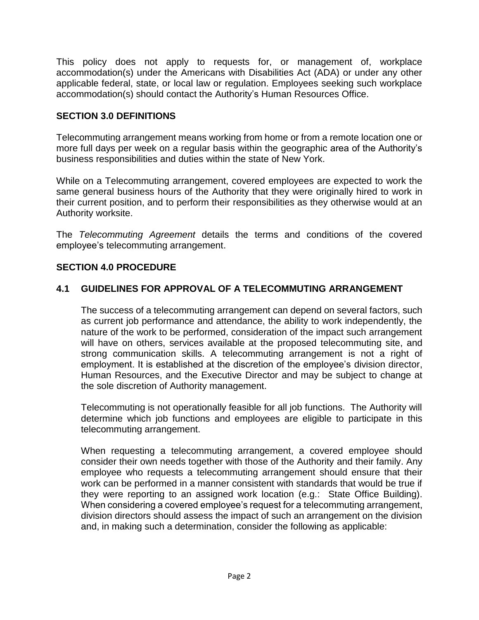This policy does not apply to requests for, or management of, workplace accommodation(s) under the Americans with Disabilities Act (ADA) or under any other applicable federal, state, or local law or regulation. Employees seeking such workplace accommodation(s) should contact the Authority's Human Resources Office.

# **SECTION 3.0 DEFINITIONS**

Telecommuting arrangement means working from home or from a remote location one or more full days per week on a regular basis within the geographic area of the Authority's business responsibilities and duties within the state of New York.

While on a Telecommuting arrangement, covered employees are expected to work the same general business hours of the Authority that they were originally hired to work in their current position, and to perform their responsibilities as they otherwise would at an Authority worksite.

The *Telecommuting Agreement* details the terms and conditions of the covered employee's telecommuting arrangement.

# **SECTION 4.0 PROCEDURE**

# **4.1 GUIDELINES FOR APPROVAL OF A TELECOMMUTING ARRANGEMENT**

The success of a telecommuting arrangement can depend on several factors, such as current job performance and attendance, the ability to work independently, the nature of the work to be performed, consideration of the impact such arrangement will have on others, services available at the proposed telecommuting site, and strong communication skills. A telecommuting arrangement is not a right of employment. It is established at the discretion of the employee's division director, Human Resources, and the Executive Director and may be subject to change at the sole discretion of Authority management.

Telecommuting is not operationally feasible for all job functions. The Authority will determine which job functions and employees are eligible to participate in this telecommuting arrangement.

When requesting a telecommuting arrangement, a covered employee should consider their own needs together with those of the Authority and their family. Any employee who requests a telecommuting arrangement should ensure that their work can be performed in a manner consistent with standards that would be true if they were reporting to an assigned work location (e.g.: State Office Building). When considering a covered employee's request for a telecommuting arrangement, division directors should assess the impact of such an arrangement on the division and, in making such a determination, consider the following as applicable: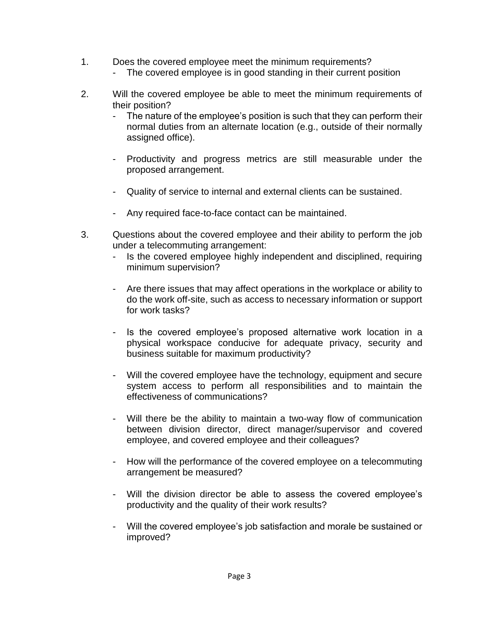- 1. Does the covered employee meet the minimum requirements?
	- The covered employee is in good standing in their current position
- 2. Will the covered employee be able to meet the minimum requirements of their position?
	- The nature of the employee's position is such that they can perform their normal duties from an alternate location (e.g., outside of their normally assigned office).
	- Productivity and progress metrics are still measurable under the proposed arrangement.
	- Quality of service to internal and external clients can be sustained.
	- Any required face-to-face contact can be maintained.
- 3. Questions about the covered employee and their ability to perform the job under a telecommuting arrangement:
	- Is the covered employee highly independent and disciplined, requiring minimum supervision?
	- Are there issues that may affect operations in the workplace or ability to do the work off-site, such as access to necessary information or support for work tasks?
	- Is the covered employee's proposed alternative work location in a physical workspace conducive for adequate privacy, security and business suitable for maximum productivity?
	- Will the covered employee have the technology, equipment and secure system access to perform all responsibilities and to maintain the effectiveness of communications?
	- Will there be the ability to maintain a two-way flow of communication between division director, direct manager/supervisor and covered employee, and covered employee and their colleagues?
	- How will the performance of the covered employee on a telecommuting arrangement be measured?
	- Will the division director be able to assess the covered employee's productivity and the quality of their work results?
	- Will the covered employee's job satisfaction and morale be sustained or improved?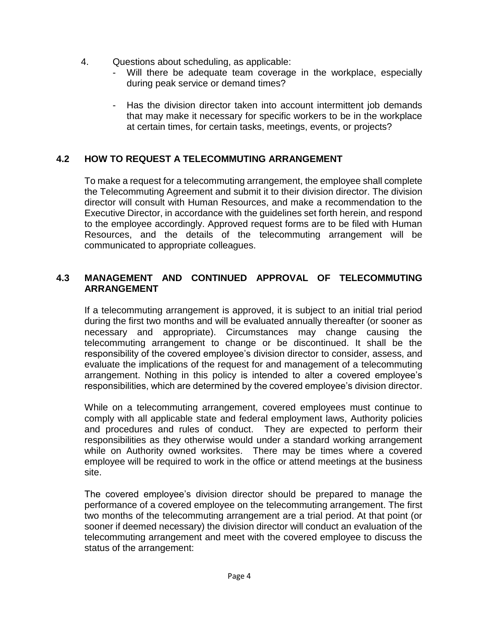- 4. Questions about scheduling, as applicable:
	- Will there be adequate team coverage in the workplace, especially during peak service or demand times?
	- Has the division director taken into account intermittent job demands that may make it necessary for specific workers to be in the workplace at certain times, for certain tasks, meetings, events, or projects?

# **4.2 HOW TO REQUEST A TELECOMMUTING ARRANGEMENT**

To make a request for a telecommuting arrangement, the employee shall complete the Telecommuting Agreement and submit it to their division director. The division director will consult with Human Resources, and make a recommendation to the Executive Director, in accordance with the guidelines set forth herein, and respond to the employee accordingly. Approved request forms are to be filed with Human Resources, and the details of the telecommuting arrangement will be communicated to appropriate colleagues.

## **4.3 MANAGEMENT AND CONTINUED APPROVAL OF TELECOMMUTING ARRANGEMENT**

If a telecommuting arrangement is approved, it is subject to an initial trial period during the first two months and will be evaluated annually thereafter (or sooner as necessary and appropriate). Circumstances may change causing the telecommuting arrangement to change or be discontinued. It shall be the responsibility of the covered employee's division director to consider, assess, and evaluate the implications of the request for and management of a telecommuting arrangement. Nothing in this policy is intended to alter a covered employee's responsibilities, which are determined by the covered employee's division director.

While on a telecommuting arrangement, covered employees must continue to comply with all applicable state and federal employment laws, Authority policies and procedures and rules of conduct. They are expected to perform their responsibilities as they otherwise would under a standard working arrangement while on Authority owned worksites. There may be times where a covered employee will be required to work in the office or attend meetings at the business site.

The covered employee's division director should be prepared to manage the performance of a covered employee on the telecommuting arrangement. The first two months of the telecommuting arrangement are a trial period. At that point (or sooner if deemed necessary) the division director will conduct an evaluation of the telecommuting arrangement and meet with the covered employee to discuss the status of the arrangement: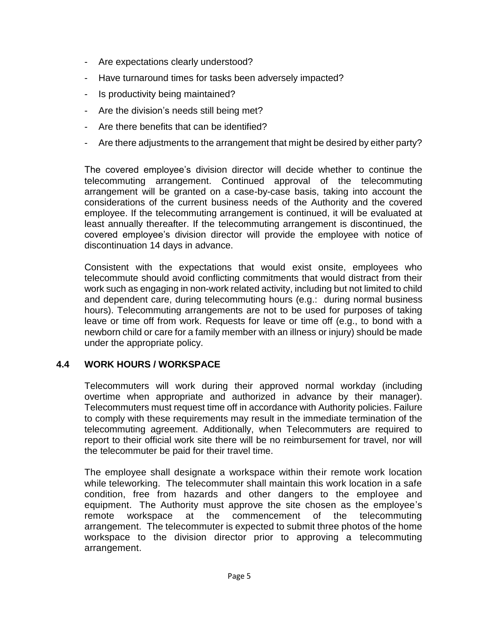- Are expectations clearly understood?
- Have turnaround times for tasks been adversely impacted?
- Is productivity being maintained?
- Are the division's needs still being met?
- Are there benefits that can be identified?
- Are there adjustments to the arrangement that might be desired by either party?

The covered employee's division director will decide whether to continue the telecommuting arrangement. Continued approval of the telecommuting arrangement will be granted on a case-by-case basis, taking into account the considerations of the current business needs of the Authority and the covered employee. If the telecommuting arrangement is continued, it will be evaluated at least annually thereafter. If the telecommuting arrangement is discontinued, the covered employee's division director will provide the employee with notice of discontinuation 14 days in advance.

Consistent with the expectations that would exist onsite, employees who telecommute should avoid conflicting commitments that would distract from their work such as engaging in non-work related activity, including but not limited to child and dependent care, during telecommuting hours (e.g.: during normal business hours). Telecommuting arrangements are not to be used for purposes of taking leave or time off from work. Requests for leave or time off (e.g., to bond with a newborn child or care for a family member with an illness or injury) should be made under the appropriate policy.

#### **4.4 WORK HOURS / WORKSPACE**

Telecommuters will work during their approved normal workday (including overtime when appropriate and authorized in advance by their manager). Telecommuters must request time off in accordance with Authority policies. Failure to comply with these requirements may result in the immediate termination of the telecommuting agreement. Additionally, when Telecommuters are required to report to their official work site there will be no reimbursement for travel, nor will the telecommuter be paid for their travel time.

The employee shall designate a workspace within their remote work location while teleworking. The telecommuter shall maintain this work location in a safe condition, free from hazards and other dangers to the employee and equipment. The Authority must approve the site chosen as the employee's remote workspace at the commencement of the telecommuting arrangement. The telecommuter is expected to submit three photos of the home workspace to the division director prior to approving a telecommuting arrangement.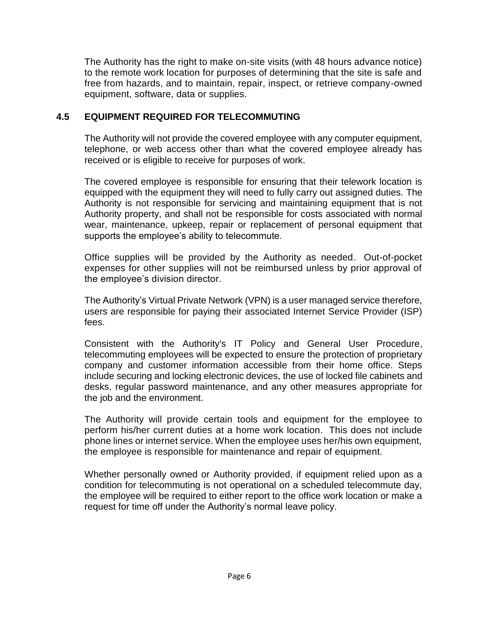The Authority has the right to make on-site visits (with 48 hours advance notice) to the remote work location for purposes of determining that the site is safe and free from hazards, and to maintain, repair, inspect, or retrieve company-owned equipment, software, data or supplies.

# **4.5 EQUIPMENT REQUIRED FOR TELECOMMUTING**

The Authority will not provide the covered employee with any computer equipment, telephone, or web access other than what the covered employee already has received or is eligible to receive for purposes of work.

The covered employee is responsible for ensuring that their telework location is equipped with the equipment they will need to fully carry out assigned duties. The Authority is not responsible for servicing and maintaining equipment that is not Authority property, and shall not be responsible for costs associated with normal wear, maintenance, upkeep, repair or replacement of personal equipment that supports the employee's ability to telecommute.

Office supplies will be provided by the Authority as needed. Out-of-pocket expenses for other supplies will not be reimbursed unless by prior approval of the employee's division director.

The Authority's Virtual Private Network (VPN) is a user managed service therefore, users are responsible for paying their associated Internet Service Provider (ISP) fees.

Consistent with the Authority's IT Policy and General User Procedure, telecommuting employees will be expected to ensure the protection of proprietary company and customer information accessible from their home office. Steps include securing and locking electronic devices, the use of locked file cabinets and desks, regular password maintenance, and any other measures appropriate for the job and the environment.

The Authority will provide certain tools and equipment for the employee to perform his/her current duties at a home work location. This does not include phone lines or internet service. When the employee uses her/his own equipment, the employee is responsible for maintenance and repair of equipment.

Whether personally owned or Authority provided, if equipment relied upon as a condition for telecommuting is not operational on a scheduled telecommute day, the employee will be required to either report to the office work location or make a request for time off under the Authority's normal leave policy.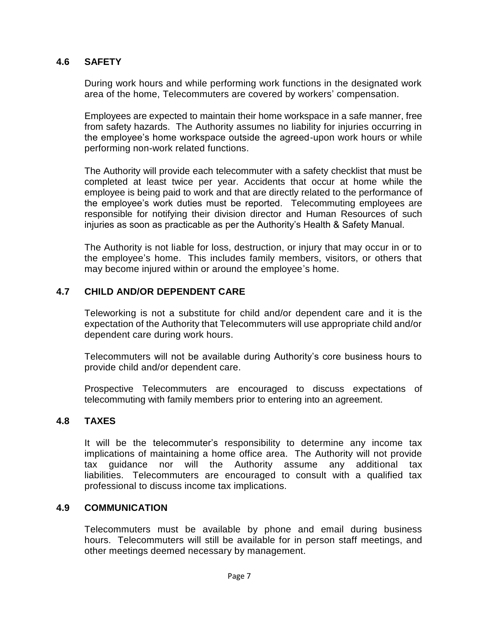# **4.6 SAFETY**

During work hours and while performing work functions in the designated work area of the home, Telecommuters are covered by workers' compensation.

Employees are expected to maintain their home workspace in a safe manner, free from safety hazards. The Authority assumes no liability for injuries occurring in the employee's home workspace outside the agreed-upon work hours or while performing non-work related functions.

The Authority will provide each telecommuter with a safety checklist that must be completed at least twice per year. Accidents that occur at home while the employee is being paid to work and that are directly related to the performance of the employee's work duties must be reported. Telecommuting employees are responsible for notifying their division director and Human Resources of such injuries as soon as practicable as per the Authority's Health & Safety Manual.

The Authority is not liable for loss, destruction, or injury that may occur in or to the employee's home. This includes family members, visitors, or others that may become injured within or around the employee's home.

## **4.7 CHILD AND/OR DEPENDENT CARE**

Teleworking is not a substitute for child and/or dependent care and it is the expectation of the Authority that Telecommuters will use appropriate child and/or dependent care during work hours.

Telecommuters will not be available during Authority's core business hours to provide child and/or dependent care.

Prospective Telecommuters are encouraged to discuss expectations of telecommuting with family members prior to entering into an agreement.

#### **4.8 TAXES**

It will be the telecommuter's responsibility to determine any income tax implications of maintaining a home office area. The Authority will not provide tax guidance nor will the Authority assume any additional tax liabilities. Telecommuters are encouraged to consult with a qualified tax professional to discuss income tax implications.

#### **4.9 COMMUNICATION**

Telecommuters must be available by phone and email during business hours. Telecommuters will still be available for in person staff meetings, and other meetings deemed necessary by management.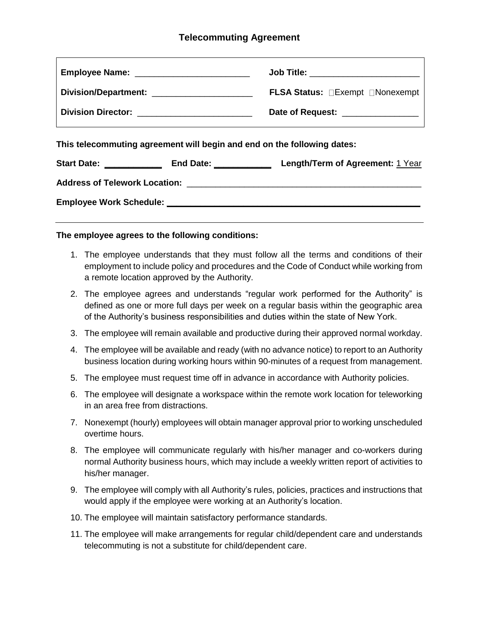## **Telecommuting Agreement**

| FLSA Status: <b>Exempt</b> Nonexempt |
|--------------------------------------|
| Date of Request: ________________    |
|                                      |

**This telecommuting agreement will begin and end on the following dates:**

| <b>Start Date:</b>                   | End Date: | Length/Term of Agreement: 1 Year |
|--------------------------------------|-----------|----------------------------------|
| <b>Address of Telework Location:</b> |           |                                  |
| <b>Employee Work Schedule:</b>       |           |                                  |

#### **The employee agrees to the following conditions:**

- 1. The employee understands that they must follow all the terms and conditions of their employment to include policy and procedures and the Code of Conduct while working from a remote location approved by the Authority.
- 2. The employee agrees and understands "regular work performed for the Authority" is defined as one or more full days per week on a regular basis within the geographic area of the Authority's business responsibilities and duties within the state of New York.
- 3. The employee will remain available and productive during their approved normal workday.
- 4. The employee will be available and ready (with no advance notice) to report to an Authority business location during working hours within 90-minutes of a request from management.
- 5. The employee must request time off in advance in accordance with Authority policies.
- 6. The employee will designate a workspace within the remote work location for teleworking in an area free from distractions.
- 7. Nonexempt (hourly) employees will obtain manager approval prior to working unscheduled overtime hours.
- 8. The employee will communicate regularly with his/her manager and co-workers during normal Authority business hours, which may include a weekly written report of activities to his/her manager.
- 9. The employee will comply with all Authority's rules, policies, practices and instructions that would apply if the employee were working at an Authority's location.
- 10. The employee will maintain satisfactory performance standards.
- 11. The employee will make arrangements for regular child/dependent care and understands telecommuting is not a substitute for child/dependent care.